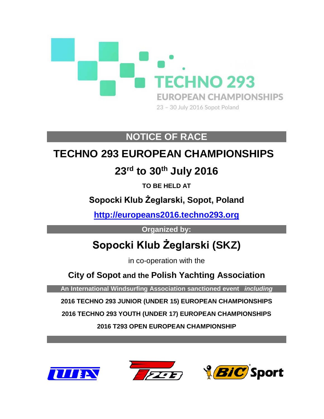

# **NOTICE OF RACE**

# **TECHNO 293 EUROPEAN CHAMPIONSHIPS**

# **23rd to 30th July 2016**

**TO BE HELD AT**

**Sopocki Klub Żeglarski, Sopot, Poland**

**[http://europeans2016.techno293.org](http://europeans2016.techno293.org/)**

**Organized by:**

# **Sopocki Klub Żeglarski (SKZ)**

in co-operation with the

**City of Sopot and the Polish Yachting Association**

**An International Windsurfing Association sanctioned event** *including*

**2016 TECHNO 293 JUNIOR (UNDER 15) EUROPEAN CHAMPIONSHIPS**

**2016 TECHNO 293 YOUTH (UNDER 17) EUROPEAN CHAMPIONSHIPS**

**2016 T293 OPEN EUROPEAN CHAMPIONSHIP**





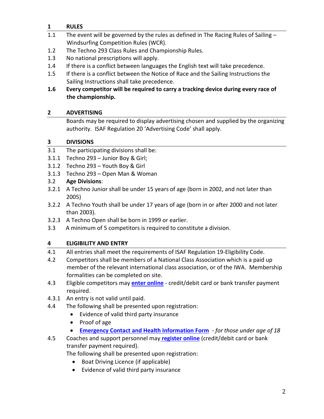# **1 RULES**

- 1.1 The event will be governed by the rules as defined in The Racing Rules of Sailing -Windsurfing Competition Rules (WCR).
- 1.2 The Techno 293 Class Rules and Championship Rules.
- 1.3 No national prescriptions will apply.
- 1.4 If there is a conflict between languages the English text will take precedence.
- 1.5 If there is a conflict between the Notice of Race and the Sailing Instructions the Sailing Instructions shall take precedence.
- **1.6 Every competitor will be required to carry a tracking device during every race of the championship.**

# **2 ADVERTISING**

Boards may be required to display advertising chosen and supplied by the organizing authority. ISAF Regulation 20 'Advertising Code' shall apply.

### **3 DIVISIONS**

- 3.1 The participating divisions shall be:
- 3.1.1 Techno 293 Junior Boy & Girl;
- 3.1.2 Techno 293 Youth Boy & Girl
- 3.1.3 Techno 293 Open Man & Woman

# 3.2 **Age Divisions**:

- 3.2.1 A Techno Junior shall be under 15 years of age (born in 2002, and not later than 2005)
- 3.2.2 A Techno Youth shall be under 17 years of age (born in or after 2000 and not later than 2003).
- 3.2.3 A Techno Open shall be born in 1999 or earlier.
- 3.3 A minimum of 5 competitors is required to constitute a division.

# **4 ELIGIBILITY AND ENTRY**

- 4.1 All entries shall meet the requirements of ISAF Regulation 19-Eligibility Code.
- 4.2 Competitors shall be members of a National Class Association which is a paid up member of the relevant international class association, or of the IWA. Membership formalities can be completed on site.
- 4.3 Eligible competitors may **[enter online](http://registration.internationalwindsurfing.com/en/events/register/id/42)** credit/debit card or bank transfer payment required.
- 4.3.1 An entry is not valid until paid.
- 4.4 The following shall be presented upon registration:
	- Evidence of valid third party insurance
	- Proof of age
	- **[Emergency Contact and Health Information Form](https://form.jotform.com/60504594366964)** *for those under age of 18*
- 4.5 Coaches and support personnel may **[register](http://registration.internationalwindsurfing.com/en/events/register/id/43) online** (credit/debit card or bank transfer payment required).

The following shall be presented upon registration:

- Boat Driving Licence (if applicable)
- Evidence of valid third party insurance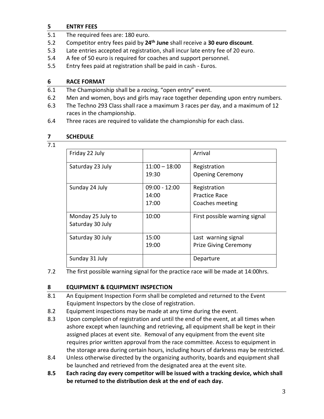#### **5 ENTRY FEES**

- 5.1 The required fees are: 180 euro.
- 5.2 Competitor entry fees paid by **24th June** shall receive a **30 euro discount**.
- 5.3 Late entries accepted at registration, shall incur late entry fee of 20 euro.
- 5.4 A fee of 50 euro is required for coaches and support personnel.
- 5.5 Entry fees paid at registration shall be paid in cash Euros.

#### **6 RACE FORMAT**

- 6.1 The Championship shall be a *racing,* "open entry" event.
- 6.2 Men and women, boys and girls may race together depending upon entry numbers.
- 6.3 The Techno 293 Class shall race a maximum 3 races per day, and a maximum of 12 races in the championship.
- 6.4 Three races are required to validate the championship for each class.

#### **7 SCHEDULE**

7.1

| Friday 22 July    |                 | Arrival                       |
|-------------------|-----------------|-------------------------------|
| Saturday 23 July  | $11:00 - 18:00$ | Registration                  |
|                   | 19:30           | <b>Opening Ceremony</b>       |
| Sunday 24 July    | $09:00 - 12:00$ | Registration                  |
|                   | 14:00           | <b>Practice Race</b>          |
|                   | 17:00           | Coaches meeting               |
| Monday 25 July to | 10:00           | First possible warning signal |
| Saturday 30 July  |                 |                               |
| Saturday 30 July  | 15:00           | Last warning signal           |
|                   | 19:00           | <b>Prize Giving Ceremony</b>  |
| Sunday 31 July    |                 | Departure                     |

7.2 The first possible warning signal for the practice race will be made at 14:00hrs.

#### **8 EQUIPMENT & EQUIPMENT INSPECTION**

- 8.1 An Equipment Inspection Form shall be completed and returned to the Event Equipment Inspectors by the close of registration.
- 8.2 Equipment inspections may be made at any time during the event.
- 8.3 Upon completion of registration and until the end of the event, at all times when ashore except when launching and retrieving, all equipment shall be kept in their assigned places at event site. Removal of any equipment from the event site requires prior written approval from the race committee. Access to equipment in the storage area during certain hours, including hours of darkness may be restricted.
- 8.4 Unless otherwise directed by the organizing authority, boards and equipment shall be launched and retrieved from the designated area at the event site.
- **8.5 Each racing day every competitor will be issued with a tracking device, which shall be returned to the distribution desk at the end of each day.**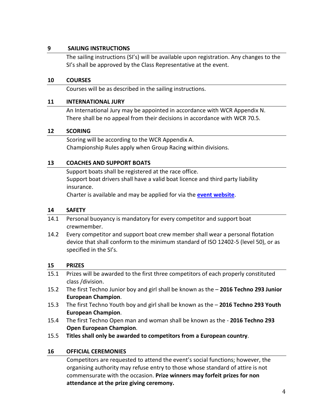#### **9 SAILING INSTRUCTIONS**

The sailing instructions (SI's) will be available upon registration. Any changes to the SI's shall be approved by the Class Representative at the event.

#### **10 COURSES**

Courses will be as described in the sailing instructions.

#### **11 INTERNATIONAL JURY**

An International Jury may be appointed in accordance with WCR Appendix N. There shall be no appeal from their decisions in accordance with WCR 70.5.

#### **12 SCORING**

Scoring will be according to the WCR Appendix A. Championship Rules apply when Group Racing within divisions.

#### **13 COACHES AND SUPPORT BOATS**

Support boats shall be registered at the race office. Support boat drivers shall have a valid boat licence and third party liability insurance.

Charter is available and may be applied for via the **[event website](http://europeans2016.techno293.org/for-the-sailor/coach-boat-charter)**.

#### **14 SAFETY**

- 14.1 Personal buoyancy is mandatory for every competitor and support boat crewmember.
- 14.2 Every competitor and support boat crew member shall wear a personal flotation device that shall conform to the minimum standard of ISO 12402-5 (level 50), or as specified in the SI's.

#### **15 PRIZES**

- 15.1 Prizes will be awarded to the first three competitors of each properly constituted class /division.
- 15.2 The first Techno Junior boy and girl shall be known as the **2016 Techno 293 Junior European Champion**.
- 15.3 The first Techno Youth boy and girl shall be known as the **2016 Techno 293 Youth European Champion**.
- 15.4 The first Techno Open man and woman shall be known as the **2016 Techno 293 Open European Champion**.
- 15.5 **Titles shall only be awarded to competitors from a European country**.

#### **16 OFFICIAL CEREMONIES**

Competitors are requested to attend the event's social functions; however, the organising authority may refuse entry to those whose standard of attire is not commensurate with the occasion. **Prize winners may forfeit prizes for non attendance at the prize giving ceremony.**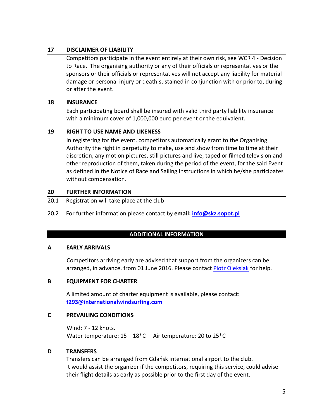#### **17 DISCLAIMER OF LIABILITY**

Competitors participate in the event entirely at their own risk, see WCR 4 - Decision to Race. The organising authority or any of their officials or representatives or the sponsors or their officials or representatives will not accept any liability for material damage or personal injury or death sustained in conjunction with or prior to, during or after the event.

#### **18 INSURANCE**

Each participating board shall be insured with valid third party liability insurance with a minimum cover of 1,000,000 euro per event or the equivalent.

#### **19 RIGHT TO USE NAME AND LIKENESS**

In registering for the event, competitors automatically grant to the Organising Authority the right in perpetuity to make, use and show from time to time at their discretion, any motion pictures, still pictures and live, taped or filmed television and other reproduction of them, taken during the period of the event, for the said Event as defined in the Notice of Race and Sailing Instructions in which he/she participates without compensation.

#### **20 FURTHER INFORMATION**

- 20.1 Registration will take place at the club
- 20.2 For further information please contact **by email: [info@skz.sopot.pl](mailto:info@skz.sopot.pl)**

#### **ADDITIONAL INFORMATION**

#### **A EARLY ARRIVALS**

Competitors arriving early are advised that support from the organizers can be arranged, in advance, from 01 June 2016. Please contact [Piotr Oleksiak](mailto:info@skz.sopot.pl) for help.

#### **B EQUIPMENT FOR CHARTER**

A limited amount of charter equipment is available, please contact: **[t293@internationalwindsurfing.com](mailto:t293@internationalwindsurfing.com)**

#### **C PREVAILING CONDITIONS**

Wind: 7 - 12 knots. Water temperature:  $15 - 18$ <sup>\*</sup>C Air temperature: 20 to 25<sup>\*</sup>C

#### **D TRANSFERS**

Transfers can be arranged from Gdańsk international airport to the club. It would assist the organizer if the competitors, requiring this service, could advise their flight details as early as possible prior to the first day of the event.